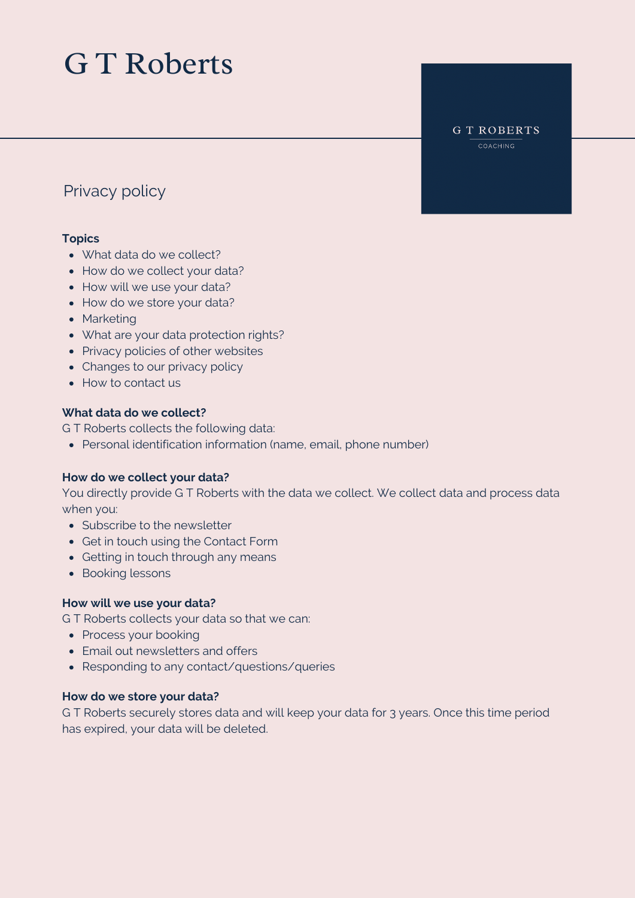# G T Roberts

#### **GT ROBERTS** COACHING

## Privacy policy

## **Topics**

- What data do we collect?
- How do we collect your data?
- How will we use your data?
- How do we store your data?
- Marketing
- What are your data protection rights?
- Privacy policies of other websites
- Changes to our privacy policy
- How to contact us

## **What data do we collect?**

G T Roberts collects the following data:

Personal identification information (name, email, phone number)

## **How do we collect your data?**

You directly provide G T Roberts with the data we collect. We collect data and process data when you:

- Subscribe to the newsletter
- Get in touch using the Contact Form
- Getting in touch through any means
- Booking lessons

### **How will we use your data?**

G T Roberts collects your data so that we can:

- Process your booking
- Email out newsletters and offers
- Responding to any contact/questions/queries

### **How do we store your data?**

G T Roberts securely stores data and will keep your data for 3 years. Once this time period has expired, your data will be deleted.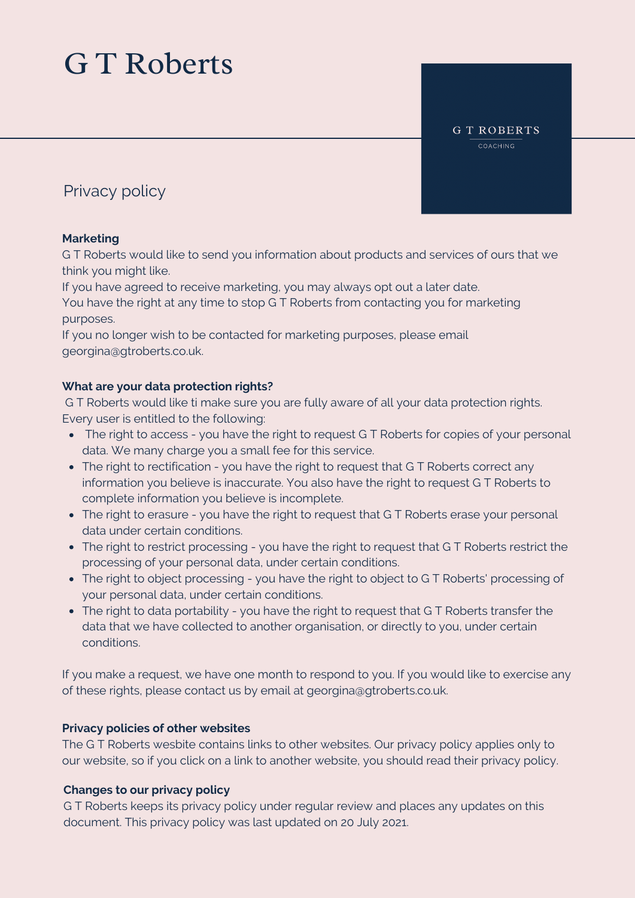# G T Roberts

#### **GT ROBERTS** COACHING

## Privacy policy

## **Marketing**

G T Roberts would like to send you information about products and services of ours that we think you might like.

If you have agreed to receive marketing, you may always opt out a later date.

You have the right at any time to stop G T Roberts from contacting you for marketing purposes.

If you no longer wish to be contacted for marketing purposes, please email georgina@gtroberts.co.uk.

## **What are your data protection rights?**

G T Roberts would like ti make sure you are fully aware of all your data protection rights. Every user is entitled to the following:

- The right to access you have the right to request G T Roberts for copies of your personal data. We many charge you a small fee for this service.
- The right to rectification you have the right to request that G T Roberts correct any information you believe is inaccurate. You also have the right to request G T Roberts to complete information you believe is incomplete.
- The right to erasure you have the right to request that G T Roberts erase your personal data under certain conditions.
- The right to restrict processing you have the right to request that GT Roberts restrict the processing of your personal data, under certain conditions.
- The right to object processing you have the right to object to G T Roberts' processing of your personal data, under certain conditions.
- The right to data portability you have the right to request that G T Roberts transfer the data that we have collected to another organisation, or directly to you, under certain conditions.

If you make a request, we have one month to respond to you. If you would like to exercise any of these rights, please contact us by email at georgina@gtroberts.co.uk.

## **Privacy policies of other websites**

The G T Roberts wesbite contains links to other websites. Our privacy policy applies only to our website, so if you click on a link to another website, you should read their privacy policy.

## **Changes to our privacy policy**

G T Roberts keeps its privacy policy under regular review and places any updates on this document. This privacy policy was last updated on 20 July 2021.